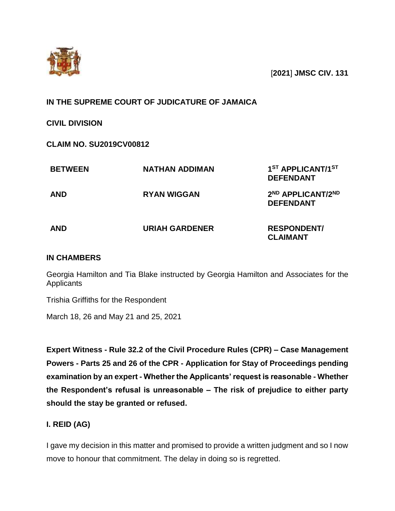

[**2021**] **JMSC CIV. 131**

# **IN THE SUPREME COURT OF JUDICATURE OF JAMAICA**

**CIVIL DIVISION**

**CLAIM NO. SU2019CV00812**

| <b>BETWEEN</b> | <b>NATHAN ADDIMAN</b> | 1 <sup>ST</sup> APPLICANT/1 <sup>ST</sup><br><b>DEFENDANT</b> |
|----------------|-----------------------|---------------------------------------------------------------|
| <b>AND</b>     | <b>RYAN WIGGAN</b>    | 2 <sup>ND</sup> APPLICANT/2 <sup>ND</sup><br><b>DEFENDANT</b> |
| <b>AND</b>     | <b>URIAH GARDENER</b> | <b>RESPONDENT/</b><br><b>CLAIMANT</b>                         |

# **IN CHAMBERS**

Georgia Hamilton and Tia Blake instructed by Georgia Hamilton and Associates for the **Applicants** 

Trishia Griffiths for the Respondent

March 18, 26 and May 21 and 25, 2021

**Expert Witness - Rule 32.2 of the Civil Procedure Rules (CPR) – Case Management Powers - Parts 25 and 26 of the CPR - Application for Stay of Proceedings pending examination by an expert - Whether the Applicants' request is reasonable - Whether the Respondent's refusal is unreasonable – The risk of prejudice to either party should the stay be granted or refused.**

# **I. REID (AG)**

I gave my decision in this matter and promised to provide a written judgment and so I now move to honour that commitment. The delay in doing so is regretted.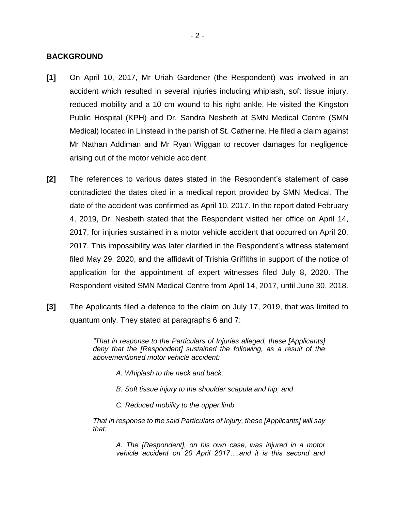### **BACKGROUND**

- **[1]** On April 10, 2017, Mr Uriah Gardener (the Respondent) was involved in an accident which resulted in several injuries including whiplash, soft tissue injury, reduced mobility and a 10 cm wound to his right ankle. He visited the Kingston Public Hospital (KPH) and Dr. Sandra Nesbeth at SMN Medical Centre (SMN Medical) located in Linstead in the parish of St. Catherine. He filed a claim against Mr Nathan Addiman and Mr Ryan Wiggan to recover damages for negligence arising out of the motor vehicle accident.
- **[2]** The references to various dates stated in the Respondent's statement of case contradicted the dates cited in a medical report provided by SMN Medical. The date of the accident was confirmed as April 10, 2017. In the report dated February 4, 2019, Dr. Nesbeth stated that the Respondent visited her office on April 14, 2017, for injuries sustained in a motor vehicle accident that occurred on April 20, 2017. This impossibility was later clarified in the Respondent's witness statement filed May 29, 2020, and the affidavit of Trishia Griffiths in support of the notice of application for the appointment of expert witnesses filed July 8, 2020. The Respondent visited SMN Medical Centre from April 14, 2017, until June 30, 2018.
- **[3]** The Applicants filed a defence to the claim on July 17, 2019, that was limited to quantum only. They stated at paragraphs 6 and 7:

*"That in response to the Particulars of Injuries alleged, these [Applicants] deny that the [Respondent] sustained the following, as a result of the abovementioned motor vehicle accident:*

- *A. Whiplash to the neck and back;*
- *B. Soft tissue injury to the shoulder scapula and hip; and*
- *C. Reduced mobility to the upper limb*

*That in response to the said Particulars of Injury, these [Applicants] will say that:*

*A. The [Respondent], on his own case, was injured in a motor vehicle accident on 20 April 2017….and it is this second and*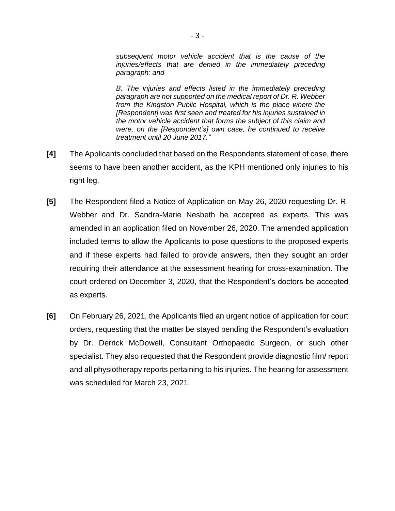*subsequent motor vehicle accident that is the cause of the injuries/effects that are denied in the immediately preceding paragraph; and* 

*B. The injuries and effects listed in the immediately preceding paragraph are not supported on the medical report of Dr. R. Webber from the Kingston Public Hospital, which is the place where the [Respondent] was first seen and treated for his injuries sustained in the motor vehicle accident that forms the subject of this claim and were, on the [Respondent's] own case, he continued to receive treatment until 20 June 2017."*

- **[4]** The Applicants concluded that based on the Respondents statement of case, there seems to have been another accident, as the KPH mentioned only injuries to his right leg.
- **[5]** The Respondent filed a Notice of Application on May 26, 2020 requesting Dr. R. Webber and Dr. Sandra-Marie Nesbeth be accepted as experts. This was amended in an application filed on November 26, 2020. The amended application included terms to allow the Applicants to pose questions to the proposed experts and if these experts had failed to provide answers, then they sought an order requiring their attendance at the assessment hearing for cross-examination. The court ordered on December 3, 2020, that the Respondent's doctors be accepted as experts.
- **[6]** On February 26, 2021, the Applicants filed an urgent notice of application for court orders, requesting that the matter be stayed pending the Respondent's evaluation by Dr. Derrick McDowell, Consultant Orthopaedic Surgeon, or such other specialist. They also requested that the Respondent provide diagnostic film/ report and all physiotherapy reports pertaining to his injuries. The hearing for assessment was scheduled for March 23, 2021.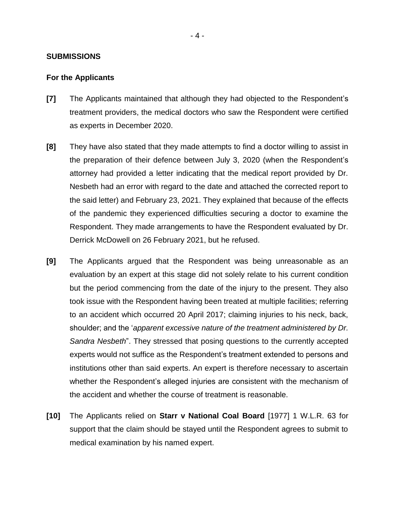### **SUBMISSIONS**

#### **For the Applicants**

- **[7]** The Applicants maintained that although they had objected to the Respondent's treatment providers, the medical doctors who saw the Respondent were certified as experts in December 2020.
- **[8]** They have also stated that they made attempts to find a doctor willing to assist in the preparation of their defence between July 3, 2020 (when the Respondent's attorney had provided a letter indicating that the medical report provided by Dr. Nesbeth had an error with regard to the date and attached the corrected report to the said letter) and February 23, 2021. They explained that because of the effects of the pandemic they experienced difficulties securing a doctor to examine the Respondent. They made arrangements to have the Respondent evaluated by Dr. Derrick McDowell on 26 February 2021, but he refused.
- **[9]** The Applicants argued that the Respondent was being unreasonable as an evaluation by an expert at this stage did not solely relate to his current condition but the period commencing from the date of the injury to the present. They also took issue with the Respondent having been treated at multiple facilities; referring to an accident which occurred 20 April 2017; claiming injuries to his neck, back, shoulder; and the '*apparent excessive nature of the treatment administered by Dr. Sandra Nesbeth*". They stressed that posing questions to the currently accepted experts would not suffice as the Respondent's treatment extended to persons and institutions other than said experts. An expert is therefore necessary to ascertain whether the Respondent's alleged injuries are consistent with the mechanism of the accident and whether the course of treatment is reasonable.
- **[10]** The Applicants relied on **Starr v National Coal Board** [1977] 1 W.L.R. 63 for support that the claim should be stayed until the Respondent agrees to submit to medical examination by his named expert.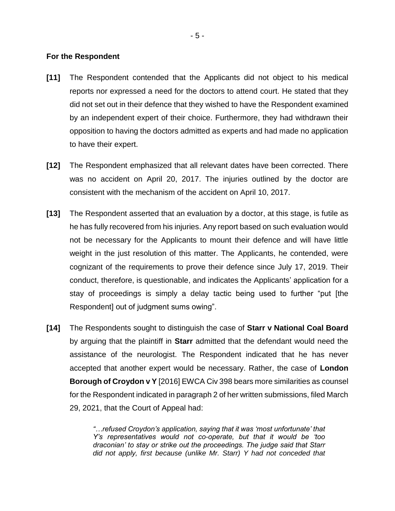#### **For the Respondent**

- **[11]** The Respondent contended that the Applicants did not object to his medical reports nor expressed a need for the doctors to attend court. He stated that they did not set out in their defence that they wished to have the Respondent examined by an independent expert of their choice. Furthermore, they had withdrawn their opposition to having the doctors admitted as experts and had made no application to have their expert.
- **[12]** The Respondent emphasized that all relevant dates have been corrected. There was no accident on April 20, 2017. The injuries outlined by the doctor are consistent with the mechanism of the accident on April 10, 2017.
- **[13]** The Respondent asserted that an evaluation by a doctor, at this stage, is futile as he has fully recovered from his injuries. Any report based on such evaluation would not be necessary for the Applicants to mount their defence and will have little weight in the just resolution of this matter. The Applicants, he contended, were cognizant of the requirements to prove their defence since July 17, 2019. Their conduct, therefore, is questionable, and indicates the Applicants' application for a stay of proceedings is simply a delay tactic being used to further "put [the Respondent] out of judgment sums owing".
- **[14]** The Respondents sought to distinguish the case of **Starr v National Coal Board** by arguing that the plaintiff in **Starr** admitted that the defendant would need the assistance of the neurologist. The Respondent indicated that he has never accepted that another expert would be necessary. Rather, the case of **London Borough of Croydon v Y** [2016] EWCA Civ 398 bears more similarities as counsel for the Respondent indicated in paragraph 2 of her written submissions, filed March 29, 2021, that the Court of Appeal had:

*"…refused Croydon's application, saying that it was 'most unfortunate' that Y's representatives would not co-operate, but that it would be 'too draconian' to stay or strike out the proceedings. The judge said that Starr did not apply, first because (unlike Mr. Starr) Y had not conceded that*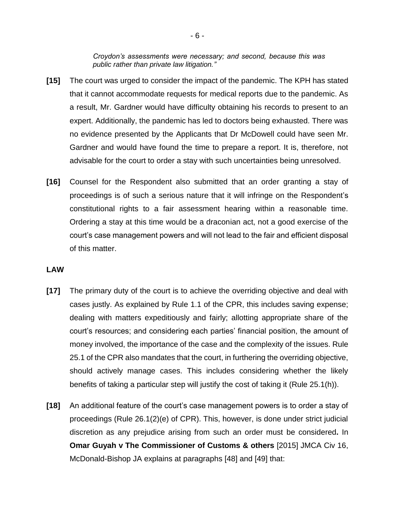*Croydon's assessments were necessary; and second, because this was public rather than private law litigation."*

- **[15]** The court was urged to consider the impact of the pandemic. The KPH has stated that it cannot accommodate requests for medical reports due to the pandemic. As a result, Mr. Gardner would have difficulty obtaining his records to present to an expert. Additionally, the pandemic has led to doctors being exhausted. There was no evidence presented by the Applicants that Dr McDowell could have seen Mr. Gardner and would have found the time to prepare a report. It is, therefore, not advisable for the court to order a stay with such uncertainties being unresolved.
- **[16]** Counsel for the Respondent also submitted that an order granting a stay of proceedings is of such a serious nature that it will infringe on the Respondent's constitutional rights to a fair assessment hearing within a reasonable time. Ordering a stay at this time would be a draconian act, not a good exercise of the court's case management powers and will not lead to the fair and efficient disposal of this matter.

### **LAW**

- **[17]** The primary duty of the court is to achieve the overriding objective and deal with cases justly. As explained by Rule 1.1 of the CPR, this includes saving expense; dealing with matters expeditiously and fairly; allotting appropriate share of the court's resources; and considering each parties' financial position, the amount of money involved, the importance of the case and the complexity of the issues. Rule 25.1 of the CPR also mandates that the court, in furthering the overriding objective, should actively manage cases. This includes considering whether the likely benefits of taking a particular step will justify the cost of taking it (Rule 25.1(h)).
- **[18]** An additional feature of the court's case management powers is to order a stay of proceedings (Rule 26.1(2)(e) of CPR). This, however, is done under strict judicial discretion as any prejudice arising from such an order must be considered**.** In **Omar Guyah v The Commissioner of Customs & others** [2015] JMCA Civ 16, McDonald-Bishop JA explains at paragraphs [48] and [49] that: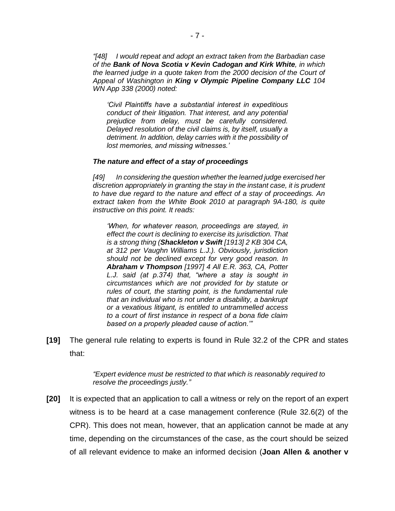*"[48] I would repeat and adopt an extract taken from the Barbadian case of the Bank of Nova Scotia v Kevin Cadogan and Kirk White, in which the learned judge in a quote taken from the 2000 decision of the Court of Appeal of Washington in King v Olympic Pipeline Company LLC 104 WN App 338 (2000) noted:*

*'Civil Plaintiffs have a substantial interest in expeditious conduct of their litigation. That interest, and any potential prejudice from delay, must be carefully considered. Delayed resolution of the civil claims is, by itself, usually a detriment. In addition, delay carries with it the possibility of lost memories, and missing witnesses.'*

#### *The nature and effect of a stay of proceedings*

*[49] In considering the question whether the learned judge exercised her discretion appropriately in granting the stay in the instant case, it is prudent to have due regard to the nature and effect of a stay of proceedings. An extract taken from the White Book 2010 at paragraph 9A-180, is quite instructive on this point. It reads:*

*'When, for whatever reason, proceedings are stayed, in effect the court is declining to exercise its jurisdiction. That is a strong thing (Shackleton v Swift [1913] 2 KB 304 CA, at 312 per Vaughn Williams L.J.). Obviously, jurisdiction should not be declined except for very good reason. In Abraham v Thompson [1997] 4 All E.R. 363, CA, Potter L.J. said (at p.374) that, "where a stay is sought in circumstances which are not provided for by statute or rules of court, the starting point, is the fundamental rule that an individual who is not under a disability, a bankrupt or a vexatious litigant, is entitled to untrammelled access to a court of first instance in respect of a bona fide claim based on a properly pleaded cause of action.'"*

**[19]** The general rule relating to experts is found in Rule 32.2 of the CPR and states that:

> *"Expert evidence must be restricted to that which is reasonably required to resolve the proceedings justly."*

**[20]** It is expected that an application to call a witness or rely on the report of an expert witness is to be heard at a case management conference (Rule 32.6(2) of the CPR). This does not mean, however, that an application cannot be made at any time, depending on the circumstances of the case, as the court should be seized of all relevant evidence to make an informed decision (**Joan Allen & another v**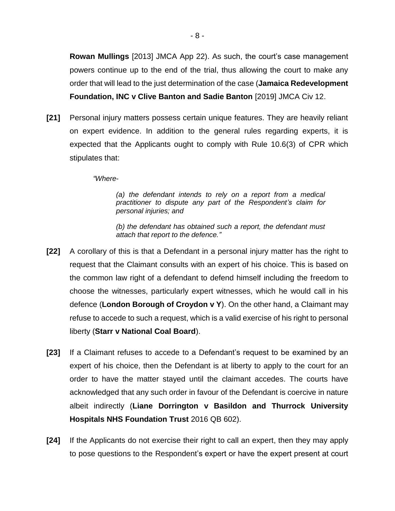**Rowan Mullings** [2013] JMCA App 22). As such, the court's case management powers continue up to the end of the trial, thus allowing the court to make any order that will lead to the just determination of the case (**Jamaica Redevelopment Foundation, INC v Clive Banton and Sadie Banton** [2019] JMCA Civ 12.

**[21]** Personal injury matters possess certain unique features. They are heavily reliant on expert evidence. In addition to the general rules regarding experts, it is expected that the Applicants ought to comply with Rule 10.6(3) of CPR which stipulates that:

*"Where-*

*(a) the defendant intends to rely on a report from a medical practitioner to dispute any part of the Respondent's claim for personal injuries; and* 

*(b) the defendant has obtained such a report, the defendant must attach that report to the defence."*

- **[22]** A corollary of this is that a Defendant in a personal injury matter has the right to request that the Claimant consults with an expert of his choice. This is based on the common law right of a defendant to defend himself including the freedom to choose the witnesses, particularly expert witnesses, which he would call in his defence (**London Borough of Croydon v Y**). On the other hand, a Claimant may refuse to accede to such a request, which is a valid exercise of his right to personal liberty (**Starr v National Coal Board**).
- **[23]** If a Claimant refuses to accede to a Defendant's request to be examined by an expert of his choice, then the Defendant is at liberty to apply to the court for an order to have the matter stayed until the claimant accedes. The courts have acknowledged that any such order in favour of the Defendant is coercive in nature albeit indirectly (**Liane Dorrington v Basildon and Thurrock University Hospitals NHS Foundation Trust** 2016 QB 602).
- **[24]** If the Applicants do not exercise their right to call an expert, then they may apply to pose questions to the Respondent's expert or have the expert present at court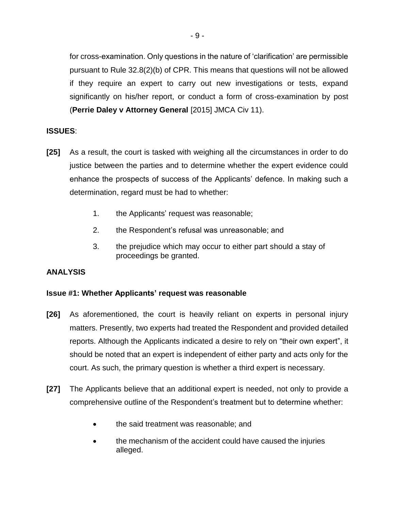for cross-examination. Only questions in the nature of 'clarification' are permissible pursuant to Rule 32.8(2)(b) of CPR. This means that questions will not be allowed if they require an expert to carry out new investigations or tests, expand significantly on his/her report, or conduct a form of cross-examination by post (**Perrie Daley v Attorney General** [2015] JMCA Civ 11).

# **ISSUES**:

- **[25]** As a result, the court is tasked with weighing all the circumstances in order to do justice between the parties and to determine whether the expert evidence could enhance the prospects of success of the Applicants' defence. In making such a determination, regard must be had to whether:
	- 1. the Applicants' request was reasonable;
	- 2. the Respondent's refusal was unreasonable; and
	- 3. the prejudice which may occur to either part should a stay of proceedings be granted.

## **ANALYSIS**

## **Issue #1: Whether Applicants' request was reasonable**

- **[26]** As aforementioned, the court is heavily reliant on experts in personal injury matters. Presently, two experts had treated the Respondent and provided detailed reports. Although the Applicants indicated a desire to rely on "their own expert", it should be noted that an expert is independent of either party and acts only for the court. As such, the primary question is whether a third expert is necessary.
- **[27]** The Applicants believe that an additional expert is needed, not only to provide a comprehensive outline of the Respondent's treatment but to determine whether:
	- the said treatment was reasonable; and
	- the mechanism of the accident could have caused the injuries alleged.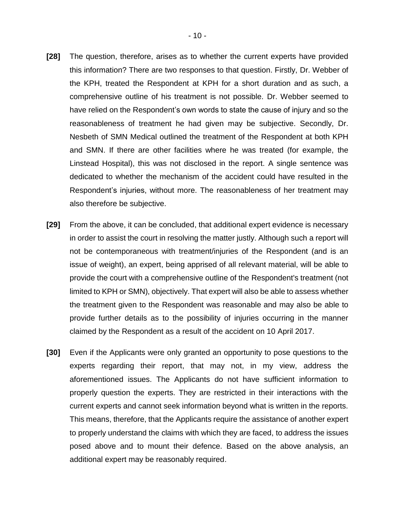- **[28]** The question, therefore, arises as to whether the current experts have provided this information? There are two responses to that question. Firstly, Dr. Webber of the KPH, treated the Respondent at KPH for a short duration and as such, a comprehensive outline of his treatment is not possible. Dr. Webber seemed to have relied on the Respondent's own words to state the cause of injury and so the reasonableness of treatment he had given may be subjective. Secondly, Dr. Nesbeth of SMN Medical outlined the treatment of the Respondent at both KPH and SMN. If there are other facilities where he was treated (for example, the Linstead Hospital), this was not disclosed in the report. A single sentence was dedicated to whether the mechanism of the accident could have resulted in the Respondent's injuries, without more. The reasonableness of her treatment may also therefore be subjective.
- **[29]** From the above, it can be concluded, that additional expert evidence is necessary in order to assist the court in resolving the matter justly. Although such a report will not be contemporaneous with treatment/injuries of the Respondent (and is an issue of weight), an expert, being apprised of all relevant material, will be able to provide the court with a comprehensive outline of the Respondent's treatment (not limited to KPH or SMN), objectively. That expert will also be able to assess whether the treatment given to the Respondent was reasonable and may also be able to provide further details as to the possibility of injuries occurring in the manner claimed by the Respondent as a result of the accident on 10 April 2017.
- **[30]** Even if the Applicants were only granted an opportunity to pose questions to the experts regarding their report, that may not, in my view, address the aforementioned issues. The Applicants do not have sufficient information to properly question the experts. They are restricted in their interactions with the current experts and cannot seek information beyond what is written in the reports. This means, therefore, that the Applicants require the assistance of another expert to properly understand the claims with which they are faced, to address the issues posed above and to mount their defence. Based on the above analysis, an additional expert may be reasonably required.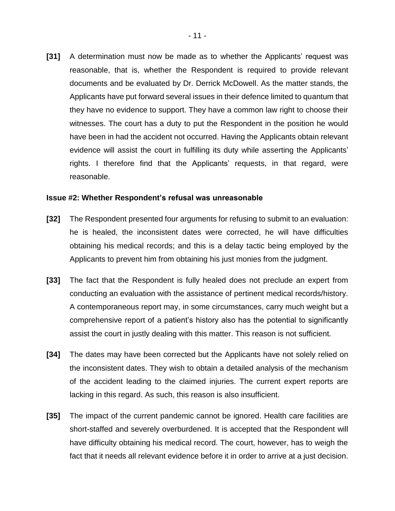**[31]** A determination must now be made as to whether the Applicants' request was reasonable, that is, whether the Respondent is required to provide relevant documents and be evaluated by Dr. Derrick McDowell. As the matter stands, the Applicants have put forward several issues in their defence limited to quantum that they have no evidence to support. They have a common law right to choose their witnesses. The court has a duty to put the Respondent in the position he would have been in had the accident not occurred. Having the Applicants obtain relevant evidence will assist the court in fulfilling its duty while asserting the Applicants' rights. I therefore find that the Applicants' requests, in that regard, were reasonable.

### **Issue #2: Whether Respondent's refusal was unreasonable**

- **[32]** The Respondent presented four arguments for refusing to submit to an evaluation: he is healed, the inconsistent dates were corrected, he will have difficulties obtaining his medical records; and this is a delay tactic being employed by the Applicants to prevent him from obtaining his just monies from the judgment.
- **[33]** The fact that the Respondent is fully healed does not preclude an expert from conducting an evaluation with the assistance of pertinent medical records/history. A contemporaneous report may, in some circumstances, carry much weight but a comprehensive report of a patient's history also has the potential to significantly assist the court in justly dealing with this matter. This reason is not sufficient.
- **[34]** The dates may have been corrected but the Applicants have not solely relied on the inconsistent dates. They wish to obtain a detailed analysis of the mechanism of the accident leading to the claimed injuries. The current expert reports are lacking in this regard. As such, this reason is also insufficient.
- **[35]** The impact of the current pandemic cannot be ignored. Health care facilities are short-staffed and severely overburdened. It is accepted that the Respondent will have difficulty obtaining his medical record. The court, however, has to weigh the fact that it needs all relevant evidence before it in order to arrive at a just decision.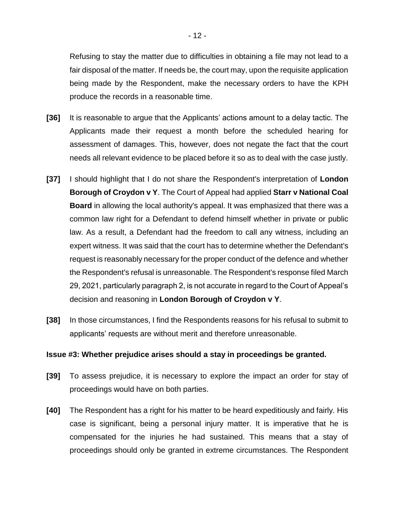Refusing to stay the matter due to difficulties in obtaining a file may not lead to a fair disposal of the matter. If needs be, the court may, upon the requisite application being made by the Respondent, make the necessary orders to have the KPH produce the records in a reasonable time.

- **[36]** It is reasonable to argue that the Applicants' actions amount to a delay tactic. The Applicants made their request a month before the scheduled hearing for assessment of damages. This, however, does not negate the fact that the court needs all relevant evidence to be placed before it so as to deal with the case justly.
- **[37]** I should highlight that I do not share the Respondent's interpretation of **London Borough of Croydon v Y**. The Court of Appeal had applied **Starr v National Coal Board** in allowing the local authority's appeal. It was emphasized that there was a common law right for a Defendant to defend himself whether in private or public law. As a result, a Defendant had the freedom to call any witness, including an expert witness. It was said that the court has to determine whether the Defendant's request is reasonably necessary for the proper conduct of the defence and whether the Respondent's refusal is unreasonable. The Respondent's response filed March 29, 2021, particularly paragraph 2, is not accurate in regard to the Court of Appeal's decision and reasoning in **London Borough of Croydon v Y**.
- **[38]** In those circumstances, I find the Respondents reasons for his refusal to submit to applicants' requests are without merit and therefore unreasonable.

### **Issue #3: Whether prejudice arises should a stay in proceedings be granted.**

- **[39]** To assess prejudice, it is necessary to explore the impact an order for stay of proceedings would have on both parties.
- **[40]** The Respondent has a right for his matter to be heard expeditiously and fairly. His case is significant, being a personal injury matter. It is imperative that he is compensated for the injuries he had sustained. This means that a stay of proceedings should only be granted in extreme circumstances. The Respondent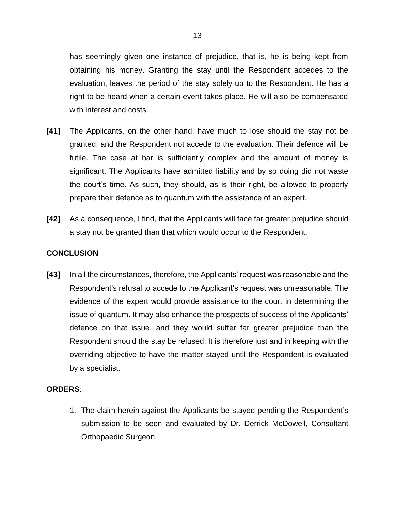has seemingly given one instance of prejudice, that is, he is being kept from obtaining his money. Granting the stay until the Respondent accedes to the evaluation, leaves the period of the stay solely up to the Respondent. He has a right to be heard when a certain event takes place. He will also be compensated with interest and costs.

- **[41]** The Applicants, on the other hand, have much to lose should the stay not be granted, and the Respondent not accede to the evaluation. Their defence will be futile. The case at bar is sufficiently complex and the amount of money is significant. The Applicants have admitted liability and by so doing did not waste the court's time. As such, they should, as is their right, be allowed to properly prepare their defence as to quantum with the assistance of an expert.
- **[42]** As a consequence, I find, that the Applicants will face far greater prejudice should a stay not be granted than that which would occur to the Respondent.

## **CONCLUSION**

**[43]** In all the circumstances, therefore, the Applicants' request was reasonable and the Respondent's refusal to accede to the Applicant's request was unreasonable. The evidence of the expert would provide assistance to the court in determining the issue of quantum. It may also enhance the prospects of success of the Applicants' defence on that issue, and they would suffer far greater prejudice than the Respondent should the stay be refused. It is therefore just and in keeping with the overriding objective to have the matter stayed until the Respondent is evaluated by a specialist.

## **ORDERS**:

1. The claim herein against the Applicants be stayed pending the Respondent's submission to be seen and evaluated by Dr. Derrick McDowell, Consultant Orthopaedic Surgeon.